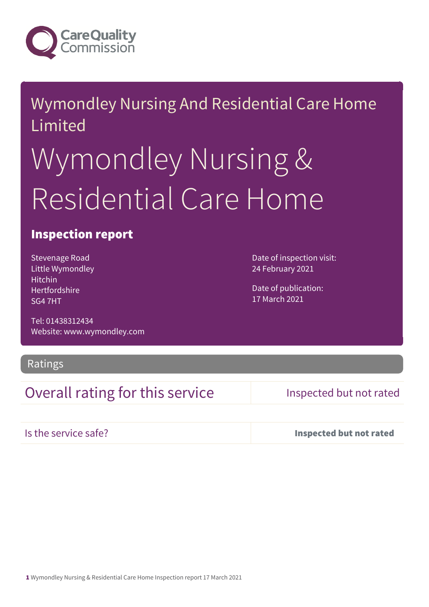

# Wymondley Nursing And Residential Care Home Limited

# Wymondley Nursing & Residential Care Home

#### Inspection report

Stevenage Road Little Wymondley Hitchin Hertfordshire SG4 7HT

Tel: 01438312434 Website: www.wymondley.com

Ratings

### Overall rating for this service Inspected but not rated

Date of inspection visit:

24 February 2021

Date of publication: 17 March 2021

Is the service safe? Inspected but not rated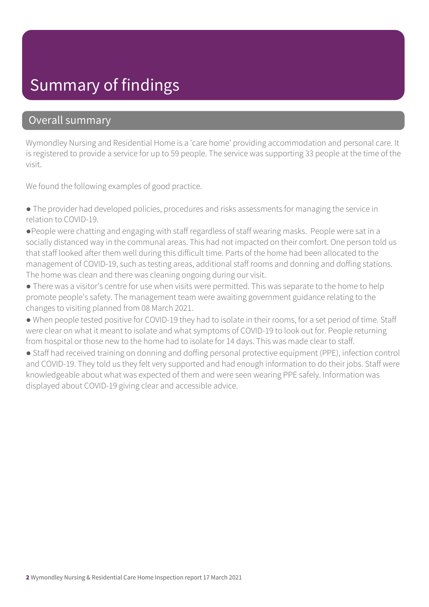### Summary of findings

#### Overall summary

Wymondley Nursing and Residential Home is a 'care home' providing accommodation and personal care. It is registered to provide a service for up to 59 people. The service was supporting 33 people at the time of the visit.

We found the following examples of good practice.

● The provider had developed policies, procedures and risks assessments for managing the service in relation to COVID-19.

●People were chatting and engaging with staff regardless of staff wearing masks. People were sat in a socially distanced way in the communal areas. This had not impacted on their comfort. One person told us that staff looked after them well during this difficult time. Parts of the home had been allocated to the management of COVID-19, such as testing areas, additional staff rooms and donning and doffing stations. The home was clean and there was cleaning ongoing during our visit.

● There was a visitor's centre for use when visits were permitted. This was separate to the home to help promote people's safety. The management team were awaiting government guidance relating to the changes to visiting planned from 08 March 2021.

● When people tested positive for COVID-19 they had to isolate in their rooms, for a set period of time. Staff were clear on what it meant to isolate and what symptoms of COVID-19 to look out for. People returning from hospital or those new to the home had to isolate for 14 days. This was made clear to staff.

● Staff had received training on donning and doffing personal protective equipment (PPE), infection control and COVID-19. They told us they felt very supported and had enough information to do their jobs. Staff were knowledgeable about what was expected of them and were seen wearing PPE safely. Information was displayed about COVID-19 giving clear and accessible advice.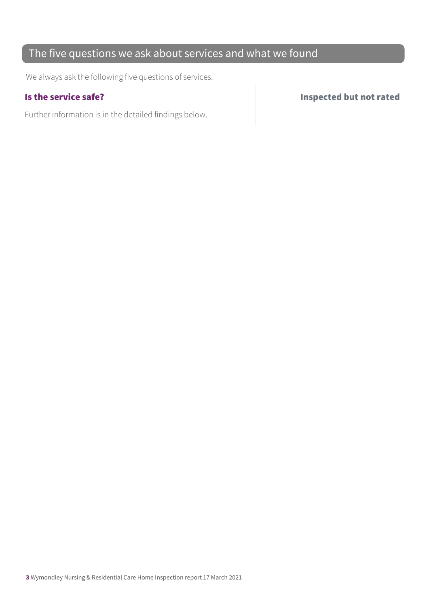#### The five questions we ask about services and what we found

We always ask the following five questions of services.

Further information is in the detailed findings below.

Is the service safe? Inspected but not rated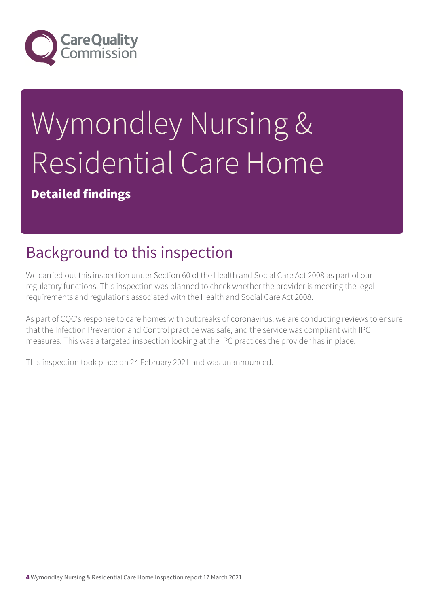

# Wymondley Nursing & Residential Care Home

Detailed findings

# Background to this inspection

We carried out this inspection under Section 60 of the Health and Social Care Act 2008 as part of our regulatory functions. This inspection was planned to check whether the provider is meeting the legal requirements and regulations associated with the Health and Social Care Act 2008.

As part of CQC's response to care homes with outbreaks of coronavirus, we are conducting reviews to ensure that the Infection Prevention and Control practice was safe, and the service was compliant with IPC measures. This was a targeted inspection looking at the IPC practices the provider has in place.

This inspection took place on 24 February 2021 and was unannounced.